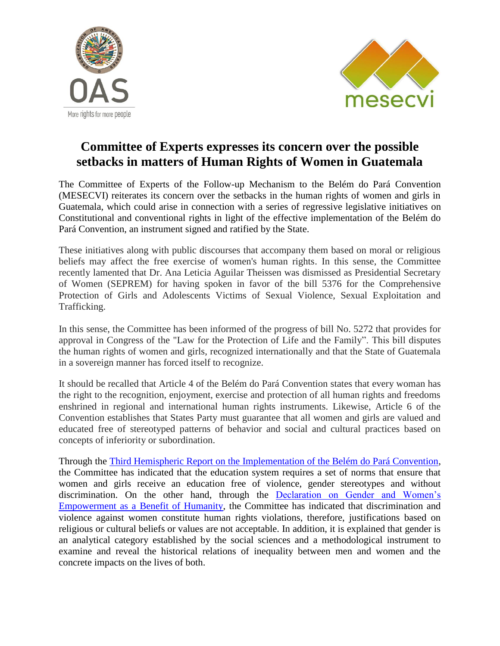



## **Committee of Experts expresses its concern over the possible setbacks in matters of Human Rights of Women in Guatemala**

The Committee of Experts of the Follow-up Mechanism to the Belém do Pará Convention (MESECVI) reiterates its concern over the setbacks in the human rights of women and girls in Guatemala, which could arise in connection with a series of regressive legislative initiatives on Constitutional and conventional rights in light of the effective implementation of the Belém do Pará Convention, an instrument signed and ratified by the State.

These initiatives along with public discourses that accompany them based on moral or religious beliefs may affect the free exercise of women's human rights. In this sense, the Committee recently lamented that Dr. Ana Leticia Aguilar Theissen was dismissed as Presidential Secretary of Women (SEPREM) for having spoken in favor of the bill 5376 for the Comprehensive Protection of Girls and Adolescents Victims of Sexual Violence, Sexual Exploitation and Trafficking.

In this sense, the Committee has been informed of the progress of bill No. 5272 that provides for approval in Congress of the "Law for the Protection of Life and the Family". This bill disputes the human rights of women and girls, recognized internationally and that the State of Guatemala in a sovereign manner has forced itself to recognize.

It should be recalled that Article 4 of the Belém do Pará Convention states that every woman has the right to the recognition, enjoyment, exercise and protection of all human rights and freedoms enshrined in regional and international human rights instruments. Likewise, Article 6 of the Convention establishes that States Party must guarantee that all women and girls are valued and educated free of stereotyped patterns of behavior and social and cultural practices based on concepts of inferiority or subordination.

Through the [Third Hemispheric Report on the Implementation of the Belém do Pará Convention,](http://www.oas.org/en/mesecvi/docs/TercerInformeHemisferico-EN.pdf) the Committee has indicated that the education system requires a set of norms that ensure that women and girls receive an education free of violence, gender stereotypes and without discrimination. On the other hand, through the [Declaration on Gender and Women's](http://www.oas.org/en/mesecvi/docs/DeclaracionIgualdadGenero-EN.pdf)  [Empowerment as a Benefit of Humanity,](http://www.oas.org/en/mesecvi/docs/DeclaracionIgualdadGenero-EN.pdf) the Committee has indicated that discrimination and violence against women constitute human rights violations, therefore, justifications based on religious or cultural beliefs or values are not acceptable. In addition, it is explained that gender is an analytical category established by the social sciences and a methodological instrument to examine and reveal the historical relations of inequality between men and women and the concrete impacts on the lives of both.